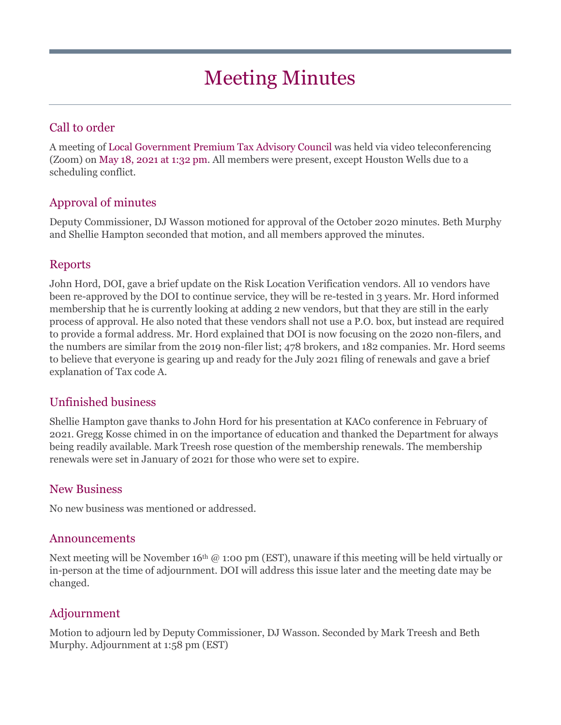# Meeting Minutes

# Call to order

A meeting of Local Government Premium Tax Advisory Council was held via video teleconferencing (Zoom) on May 18, 2021 at 1:32 pm. All members were present, except Houston Wells due to a scheduling conflict.

## Approval of minutes

Deputy Commissioner, DJ Wasson motioned for approval of the October 2020 minutes. Beth Murphy and Shellie Hampton seconded that motion, and all members approved the minutes.

#### Reports

John Hord, DOI, gave a brief update on the Risk Location Verification vendors. All 10 vendors have been re-approved by the DOI to continue service, they will be re-tested in 3 years. Mr. Hord informed membership that he is currently looking at adding 2 new vendors, but that they are still in the early process of approval. He also noted that these vendors shall not use a P.O. box, but instead are required to provide a formal address. Mr. Hord explained that DOI is now focusing on the 2020 non-filers, and the numbers are similar from the 2019 non-filer list; 478 brokers, and 182 companies. Mr. Hord seems to believe that everyone is gearing up and ready for the July 2021 filing of renewals and gave a brief explanation of Tax code A.

## Unfinished business

Shellie Hampton gave thanks to John Hord for his presentation at KACo conference in February of 2021. Gregg Kosse chimed in on the importance of education and thanked the Department for always being readily available. Mark Treesh rose question of the membership renewals. The membership renewals were set in January of 2021 for those who were set to expire.

#### New Business

No new business was mentioned or addressed.

#### Announcements

Next meeting will be November 16<sup>th</sup>  $@$  1:00 pm (EST), unaware if this meeting will be held virtually or in-person at the time of adjournment. DOI will address this issue later and the meeting date may be changed.

#### Adjournment

Motion to adjourn led by Deputy Commissioner, DJ Wasson. Seconded by Mark Treesh and Beth Murphy. Adjournment at 1:58 pm (EST)